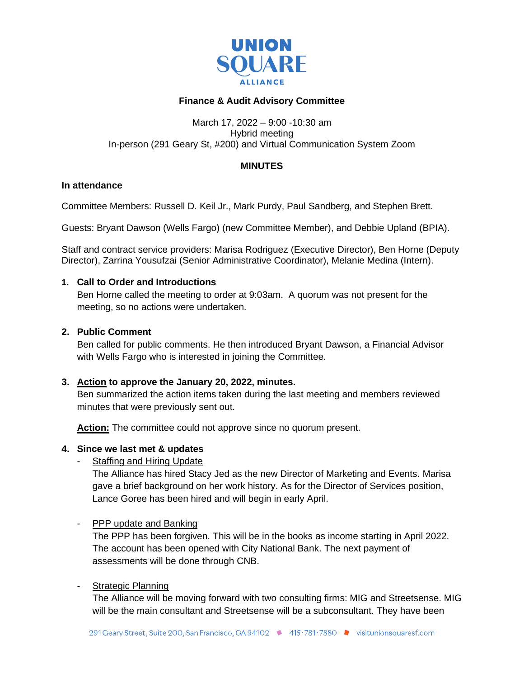

# **Finance & Audit Advisory Committee**

#### March 17, 2022 – 9:00 -10:30 am Hybrid meeting In-person (291 Geary St, #200) and Virtual Communication System Zoom

### **MINUTES**

#### **In attendance**

Committee Members: Russell D. Keil Jr., Mark Purdy, Paul Sandberg, and Stephen Brett.

Guests: Bryant Dawson (Wells Fargo) (new Committee Member), and Debbie Upland (BPIA).

Staff and contract service providers: Marisa Rodriguez (Executive Director), Ben Horne (Deputy Director), Zarrina Yousufzai (Senior Administrative Coordinator), Melanie Medina (Intern).

### **1. Call to Order and Introductions**

Ben Horne called the meeting to order at 9:03am. A quorum was not present for the meeting, so no actions were undertaken.

### **2. Public Comment**

Ben called for public comments. He then introduced Bryant Dawson, a Financial Advisor with Wells Fargo who is interested in joining the Committee.

## **3. Action to approve the January 20, 2022, minutes.**

Ben summarized the action items taken during the last meeting and members reviewed minutes that were previously sent out.

Action: The committee could not approve since no quorum present.

#### **4. Since we last met & updates**

Staffing and Hiring Update

The Alliance has hired Stacy Jed as the new Director of Marketing and Events. Marisa gave a brief background on her work history. As for the Director of Services position, Lance Goree has been hired and will begin in early April.

## - PPP update and Banking

The PPP has been forgiven. This will be in the books as income starting in April 2022. The account has been opened with City National Bank. The next payment of assessments will be done through CNB.

## - Strategic Planning

The Alliance will be moving forward with two consulting firms: MIG and Streetsense. MIG will be the main consultant and Streetsense will be a subconsultant. They have been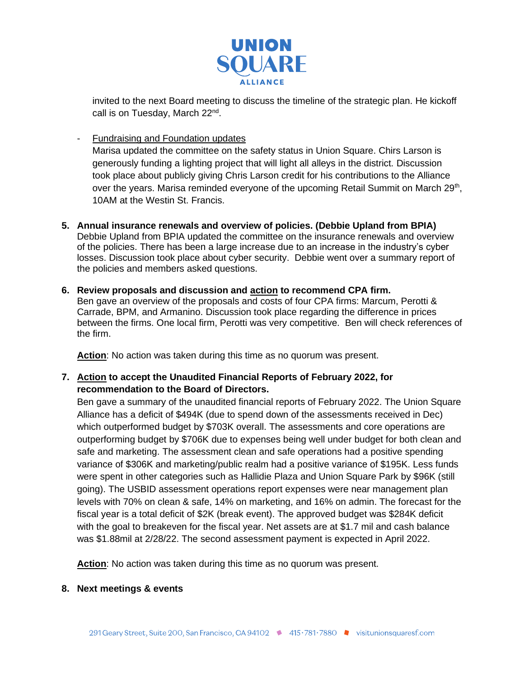

invited to the next Board meeting to discuss the timeline of the strategic plan. He kickoff call is on Tuesday, March 22<sup>nd</sup>.

- Fundraising and Foundation updates

Marisa updated the committee on the safety status in Union Square. Chirs Larson is generously funding a lighting project that will light all alleys in the district. Discussion took place about publicly giving Chris Larson credit for his contributions to the Alliance over the years. Marisa reminded everyone of the upcoming Retail Summit on March 29<sup>th</sup>, 10AM at the Westin St. Francis.

- **5. Annual insurance renewals and overview of policies. (Debbie Upland from BPIA)** Debbie Upland from BPIA updated the committee on the insurance renewals and overview of the policies. There has been a large increase due to an increase in the industry's cyber losses. Discussion took place about cyber security. Debbie went over a summary report of the policies and members asked questions.
- **6. Review proposals and discussion and action to recommend CPA firm.**  Ben gave an overview of the proposals and costs of four CPA firms: Marcum, Perotti & Carrade, BPM, and Armanino. Discussion took place regarding the difference in prices between the firms. One local firm, Perotti was very competitive. Ben will check references of the firm.

**Action**: No action was taken during this time as no quorum was present.

**7. Action to accept the Unaudited Financial Reports of February 2022, for recommendation to the Board of Directors.**

Ben gave a summary of the unaudited financial reports of February 2022. The Union Square Alliance has a deficit of \$494K (due to spend down of the assessments received in Dec) which outperformed budget by \$703K overall. The assessments and core operations are outperforming budget by \$706K due to expenses being well under budget for both clean and safe and marketing. The assessment clean and safe operations had a positive spending variance of \$306K and marketing/public realm had a positive variance of \$195K. Less funds were spent in other categories such as Hallidie Plaza and Union Square Park by \$96K (still going). The USBID assessment operations report expenses were near management plan levels with 70% on clean & safe, 14% on marketing, and 16% on admin. The forecast for the fiscal year is a total deficit of \$2K (break event). The approved budget was \$284K deficit with the goal to breakeven for the fiscal year. Net assets are at \$1.7 mil and cash balance was \$1.88mil at 2/28/22. The second assessment payment is expected in April 2022.

**Action**: No action was taken during this time as no quorum was present.

**8. Next meetings & events**